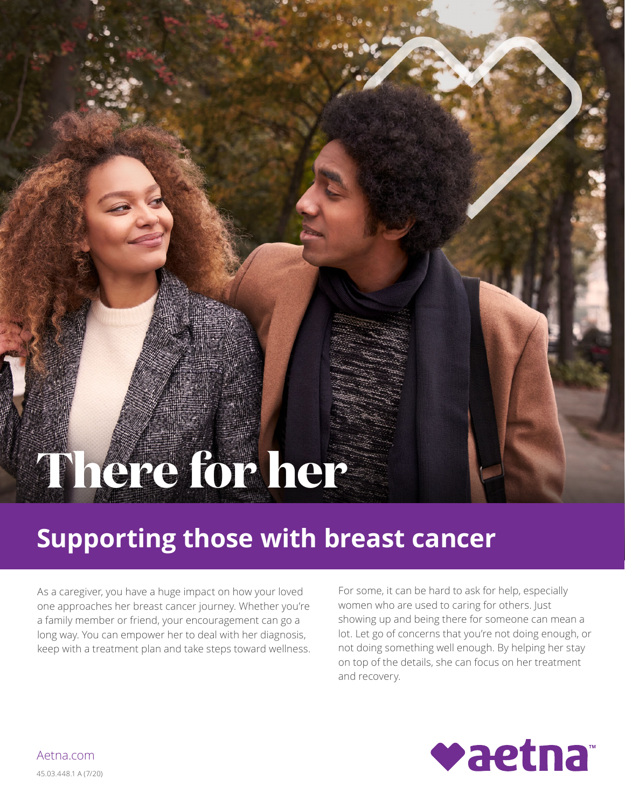# **There for her**

# **Supporting those with breast cancer**

As a caregiver, you have a huge impact on how your loved one approaches her breast cancer journey. Whether you're a family member or friend, your encouragement can go a long way. You can empower her to deal with her diagnosis, keep with a treatment plan and take steps toward wellness. For some, it can be hard to ask for help, especially women who are used to caring for others. Just showing up and being there for someone can mean a lot. Let go of concerns that you're not doing enough, or not doing something well enough. By helping her stay on top of the details, she can focus on her treatment and recovery.



[Aetna.com](http://www.aetna.com)  45.03.448.1 A (7/20)